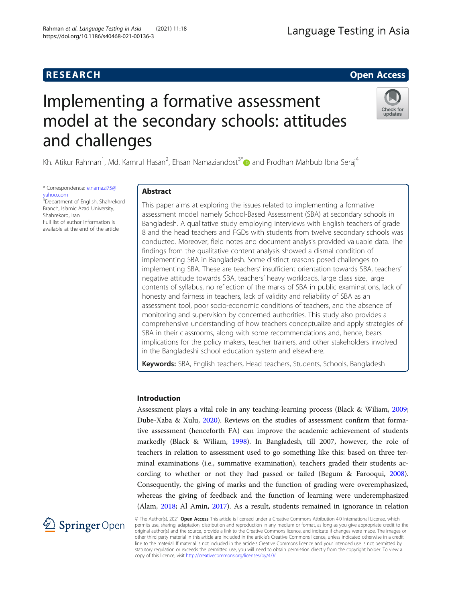# **RESEARCH RESEARCH CONSUMING ACCESS**

# Implementing a formative assessment model at the secondary schools: attitudes and challenges

Kh. Atikur Rahman<sup>1</sup>, Md. Kamrul Hasan<sup>2</sup>, Ehsan Namaziandost<sup>3\*</sup> @and Prodhan Mahbub Ibna Seraj<sup>4</sup>

\* Correspondence: [e.namazi75@](mailto:e.namazi75@yahoo.com) [yahoo.com](mailto:e.namazi75@yahoo.com) <sup>3</sup>Department of English, Shahrekord Branch, Islamic Azad University,

Shahrekord, Iran Full list of author information is available at the end of the article

# Abstract

This paper aims at exploring the issues related to implementing a formative assessment model namely School-Based Assessment (SBA) at secondary schools in Bangladesh. A qualitative study employing interviews with English teachers of grade 8 and the head teachers and FGDs with students from twelve secondary schools was conducted. Moreover, field notes and document analysis provided valuable data. The findings from the qualitative content analysis showed a dismal condition of implementing SBA in Bangladesh. Some distinct reasons posed challenges to implementing SBA. These are teachers' insufficient orientation towards SBA, teachers' negative attitude towards SBA, teachers' heavy workloads, large class size, large contents of syllabus, no reflection of the marks of SBA in public examinations, lack of honesty and fairness in teachers, lack of validity and reliability of SBA as an assessment tool, poor socio-economic conditions of teachers, and the absence of monitoring and supervision by concerned authorities. This study also provides a comprehensive understanding of how teachers conceptualize and apply strategies of SBA in their classrooms, along with some recommendations and, hence, bears implications for the policy makers, teacher trainers, and other stakeholders involved in the Bangladeshi school education system and elsewhere.

Keywords: SBA, English teachers, Head teachers, Students, Schools, Bangladesh

# Introduction

Assessment plays a vital role in any teaching-learning process (Black & Wiliam, [2009](#page-16-0); Dube-Xaba & Xulu, [2020\)](#page-17-0). Reviews on the studies of assessment confirm that formative assessment (henceforth FA) can improve the academic achievement of students markedly (Black & Wiliam, [1998](#page-16-0)). In Bangladesh, till 2007, however, the role of teachers in relation to assessment used to go something like this: based on three terminal examinations (i.e., summative examination), teachers graded their students according to whether or not they had passed or failed (Begum & Farooqui, [2008](#page-16-0)). Consequently, the giving of marks and the function of grading were overemphasized, whereas the giving of feedback and the function of learning were underemphasized (Alam, [2018;](#page-16-0) Al Amin, [2017](#page-16-0)). As a result, students remained in ignorance in relation

© The Author(s). 2021 Open Access This article is licensed under a Creative Commons Attribution 4.0 International License, which permits use, sharing, adaptation, distribution and reproduction in any medium or format, as long as you give appropriate credit to the original author(s) and the source, provide a link to the Creative Commons licence, and indicate if changes were made. The images or other third party material in this article are included in the article's Creative Commons licence, unless indicated otherwise in a credit line to the material. If material is not included in the article's Creative Commons licence and your intended use is not permitted by statutory regulation or exceeds the permitted use, you will need to obtain permission directly from the copyright holder. To view a copy of this licence, visit <http://creativecommons.org/licenses/by/4.0/>.







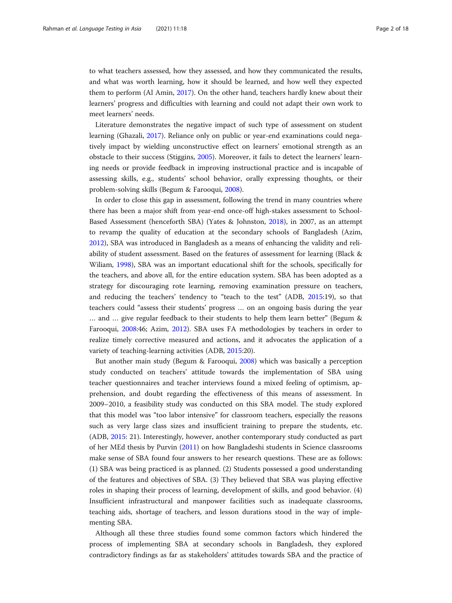to what teachers assessed, how they assessed, and how they communicated the results, and what was worth learning, how it should be learned, and how well they expected them to perform (Al Amin, [2017\)](#page-16-0). On the other hand, teachers hardly knew about their learners' progress and difficulties with learning and could not adapt their own work to meet learners' needs.

Literature demonstrates the negative impact of such type of assessment on student learning (Ghazali, [2017\)](#page-17-0). Reliance only on public or year-end examinations could negatively impact by wielding unconstructive effect on learners' emotional strength as an obstacle to their success (Stiggins, [2005\)](#page-17-0). Moreover, it fails to detect the learners' learning needs or provide feedback in improving instructional practice and is incapable of assessing skills, e.g., students' school behavior, orally expressing thoughts, or their problem-solving skills (Begum & Farooqui, [2008](#page-16-0)).

In order to close this gap in assessment, following the trend in many countries where there has been a major shift from year-end once-off high-stakes assessment to School-Based Assessment (henceforth SBA) (Yates & Johnston, [2018\)](#page-17-0), in 2007, as an attempt to revamp the quality of education at the secondary schools of Bangladesh (Azim, [2012](#page-16-0)), SBA was introduced in Bangladesh as a means of enhancing the validity and reliability of student assessment. Based on the features of assessment for learning (Black & Wiliam, [1998](#page-16-0)), SBA was an important educational shift for the schools, specifically for the teachers, and above all, for the entire education system. SBA has been adopted as a strategy for discouraging rote learning, removing examination pressure on teachers, and reducing the teachers' tendency to "teach to the test" (ADB, [2015:](#page-16-0)19), so that teachers could "assess their students' progress … on an ongoing basis during the year … and … give regular feedback to their students to help them learn better" (Begum & Farooqui, [2008](#page-16-0):46; Azim, [2012](#page-16-0)). SBA uses FA methodologies by teachers in order to realize timely corrective measured and actions, and it advocates the application of a variety of teaching-learning activities (ADB, [2015:](#page-16-0)20).

But another main study (Begum & Farooqui, [2008](#page-16-0)) which was basically a perception study conducted on teachers' attitude towards the implementation of SBA using teacher questionnaires and teacher interviews found a mixed feeling of optimism, apprehension, and doubt regarding the effectiveness of this means of assessment. In 2009–2010, a feasibility study was conducted on this SBA model. The study explored that this model was "too labor intensive" for classroom teachers, especially the reasons such as very large class sizes and insufficient training to prepare the students, etc. (ADB, [2015:](#page-16-0) 21). Interestingly, however, another contemporary study conducted as part of her MEd thesis by Purvin ([2011](#page-17-0)) on how Bangladeshi students in Science classrooms make sense of SBA found four answers to her research questions. These are as follows: (1) SBA was being practiced is as planned. (2) Students possessed a good understanding of the features and objectives of SBA. (3) They believed that SBA was playing effective roles in shaping their process of learning, development of skills, and good behavior. (4) Insufficient infrastructural and manpower facilities such as inadequate classrooms, teaching aids, shortage of teachers, and lesson durations stood in the way of implementing SBA.

Although all these three studies found some common factors which hindered the process of implementing SBA at secondary schools in Bangladesh, they explored contradictory findings as far as stakeholders' attitudes towards SBA and the practice of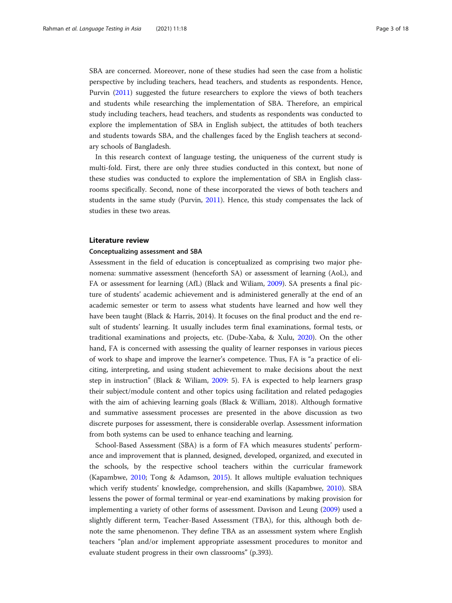SBA are concerned. Moreover, none of these studies had seen the case from a holistic perspective by including teachers, head teachers, and students as respondents. Hence, Purvin ([2011\)](#page-17-0) suggested the future researchers to explore the views of both teachers and students while researching the implementation of SBA. Therefore, an empirical study including teachers, head teachers, and students as respondents was conducted to explore the implementation of SBA in English subject, the attitudes of both teachers and students towards SBA, and the challenges faced by the English teachers at secondary schools of Bangladesh.

In this research context of language testing, the uniqueness of the current study is multi-fold. First, there are only three studies conducted in this context, but none of these studies was conducted to explore the implementation of SBA in English classrooms specifically. Second, none of these incorporated the views of both teachers and students in the same study (Purvin, [2011\)](#page-17-0). Hence, this study compensates the lack of studies in these two areas.

# Literature review

# Conceptualizing assessment and SBA

Assessment in the field of education is conceptualized as comprising two major phenomena: summative assessment (henceforth SA) or assessment of learning (AoL), and FA or assessment for learning (AfL) (Black and Wiliam, [2009](#page-16-0)). SA presents a final picture of students' academic achievement and is administered generally at the end of an academic semester or term to assess what students have learned and how well they have been taught (Black & Harris, 2014). It focuses on the final product and the end result of students' learning. It usually includes term final examinations, formal tests, or traditional examinations and projects, etc. (Dube-Xaba, & Xulu, [2020\)](#page-17-0). On the other hand, FA is concerned with assessing the quality of learner responses in various pieces of work to shape and improve the learner's competence. Thus, FA is "a practice of eliciting, interpreting, and using student achievement to make decisions about the next step in instruction" (Black & Wiliam, [2009:](#page-16-0) 5). FA is expected to help learners grasp their subject/module content and other topics using facilitation and related pedagogies with the aim of achieving learning goals (Black & William, 2018). Although formative and summative assessment processes are presented in the above discussion as two discrete purposes for assessment, there is considerable overlap. Assessment information from both systems can be used to enhance teaching and learning.

School-Based Assessment (SBA) is a form of FA which measures students' performance and improvement that is planned, designed, developed, organized, and executed in the schools, by the respective school teachers within the curricular framework (Kapambwe, [2010;](#page-17-0) Tong & Adamson, [2015](#page-17-0)). It allows multiple evaluation techniques which verify students' knowledge, comprehension, and skills (Kapambwe, [2010](#page-17-0)). SBA lessens the power of formal terminal or year-end examinations by making provision for implementing a variety of other forms of assessment. Davison and Leung [\(2009](#page-17-0)) used a slightly different term, Teacher-Based Assessment (TBA), for this, although both denote the same phenomenon. They define TBA as an assessment system where English teachers "plan and/or implement appropriate assessment procedures to monitor and evaluate student progress in their own classrooms" (p.393).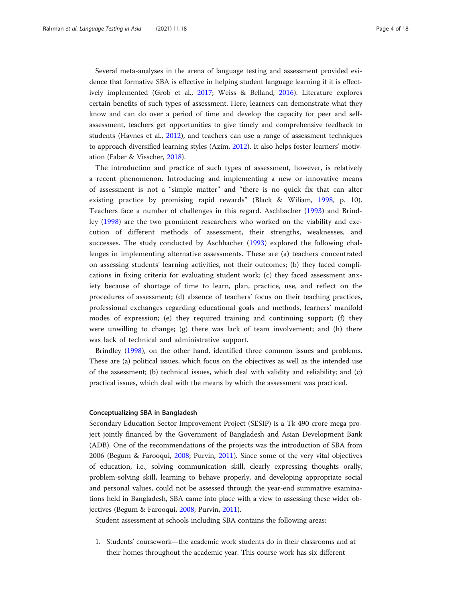Several meta-analyses in the arena of language testing and assessment provided evidence that formative SBA is effective in helping student language learning if it is effectively implemented (Grob et al., [2017;](#page-17-0) Weiss & Belland, [2016](#page-17-0)). Literature explores certain benefits of such types of assessment. Here, learners can demonstrate what they know and can do over a period of time and develop the capacity for peer and selfassessment, teachers get opportunities to give timely and comprehensive feedback to students (Havnes et al., [2012](#page-17-0)), and teachers can use a range of assessment techniques to approach diversified learning styles (Azim, [2012\)](#page-16-0). It also helps foster learners' motivation (Faber & Visscher, [2018\)](#page-17-0).

The introduction and practice of such types of assessment, however, is relatively a recent phenomenon. Introducing and implementing a new or innovative means of assessment is not a "simple matter" and "there is no quick fix that can alter existing practice by promising rapid rewards" (Black & Wiliam, [1998,](#page-16-0) p. 10). Teachers face a number of challenges in this regard. Aschbacher [\(1993](#page-16-0)) and Brindley ([1998\)](#page-16-0) are the two prominent researchers who worked on the viability and execution of different methods of assessment, their strengths, weaknesses, and successes. The study conducted by Aschbacher ([1993\)](#page-16-0) explored the following challenges in implementing alternative assessments. These are (a) teachers concentrated on assessing students' learning activities, not their outcomes; (b) they faced complications in fixing criteria for evaluating student work; (c) they faced assessment anxiety because of shortage of time to learn, plan, practice, use, and reflect on the procedures of assessment; (d) absence of teachers' focus on their teaching practices, professional exchanges regarding educational goals and methods, learners' manifold modes of expression; (e) they required training and continuing support; (f) they were unwilling to change; (g) there was lack of team involvement; and (h) there was lack of technical and administrative support.

Brindley [\(1998\)](#page-16-0), on the other hand, identified three common issues and problems. These are (a) political issues, which focus on the objectives as well as the intended use of the assessment; (b) technical issues, which deal with validity and reliability; and (c) practical issues, which deal with the means by which the assessment was practiced.

#### Conceptualizing SBA in Bangladesh

Secondary Education Sector Improvement Project (SESIP) is a Tk 490 crore mega project jointly financed by the Government of Bangladesh and Asian Development Bank (ADB). One of the recommendations of the projects was the introduction of SBA from 2006 (Begum & Farooqui, [2008](#page-16-0); Purvin, [2011\)](#page-17-0). Since some of the very vital objectives of education, i.e., solving communication skill, clearly expressing thoughts orally, problem-solving skill, learning to behave properly, and developing appropriate social and personal values, could not be assessed through the year-end summative examinations held in Bangladesh, SBA came into place with a view to assessing these wider objectives (Begum & Farooqui, [2008](#page-16-0); Purvin, [2011\)](#page-17-0).

Student assessment at schools including SBA contains the following areas:

1. Students' coursework—the academic work students do in their classrooms and at their homes throughout the academic year. This course work has six different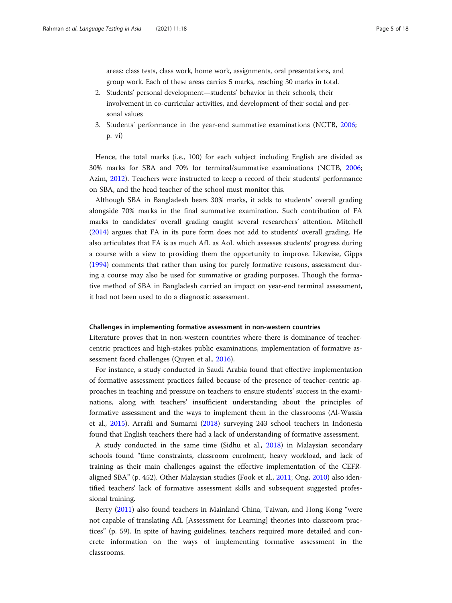areas: class tests, class work, home work, assignments, oral presentations, and group work. Each of these areas carries 5 marks, reaching 30 marks in total.

- 2. Students' personal development—students' behavior in their schools, their involvement in co-curricular activities, and development of their social and personal values
- 3. Students' performance in the year-end summative examinations (NCTB, [2006](#page-17-0); p. vi)

Hence, the total marks (i.e., 100) for each subject including English are divided as 30% marks for SBA and 70% for terminal/summative examinations (NCTB, [2006](#page-17-0); Azim, [2012\)](#page-16-0). Teachers were instructed to keep a record of their students' performance on SBA, and the head teacher of the school must monitor this.

Although SBA in Bangladesh bears 30% marks, it adds to students' overall grading alongside 70% marks in the final summative examination. Such contribution of FA marks to candidates' overall grading caught several researchers' attention. Mitchell ([2014](#page-17-0)) argues that FA in its pure form does not add to students' overall grading. He also articulates that FA is as much AfL as AoL which assesses students' progress during a course with a view to providing them the opportunity to improve. Likewise, Gipps ([1994](#page-17-0)) comments that rather than using for purely formative reasons, assessment during a course may also be used for summative or grading purposes. Though the formative method of SBA in Bangladesh carried an impact on year-end terminal assessment, it had not been used to do a diagnostic assessment.

#### Challenges in implementing formative assessment in non-western countries

Literature proves that in non-western countries where there is dominance of teachercentric practices and high-stakes public examinations, implementation of formative assessment faced challenges (Quyen et al., [2016](#page-17-0)).

For instance, a study conducted in Saudi Arabia found that effective implementation of formative assessment practices failed because of the presence of teacher-centric approaches in teaching and pressure on teachers to ensure students' success in the examinations, along with teachers' insufficient understanding about the principles of formative assessment and the ways to implement them in the classrooms (Al-Wassia et al., [2015\)](#page-16-0). Arrafii and Sumarni [\(2018](#page-16-0)) surveying 243 school teachers in Indonesia found that English teachers there had a lack of understanding of formative assessment.

A study conducted in the same time (Sidhu et al., [2018](#page-17-0)) in Malaysian secondary schools found "time constraints, classroom enrolment, heavy workload, and lack of training as their main challenges against the effective implementation of the CEFRaligned SBA" (p. 452). Other Malaysian studies (Fook et al., [2011;](#page-17-0) Ong, [2010](#page-17-0)) also identified teachers' lack of formative assessment skills and subsequent suggested professional training.

Berry [\(2011\)](#page-16-0) also found teachers in Mainland China, Taiwan, and Hong Kong "were not capable of translating AfL [Assessment for Learning] theories into classroom practices" (p. 59). In spite of having guidelines, teachers required more detailed and concrete information on the ways of implementing formative assessment in the classrooms.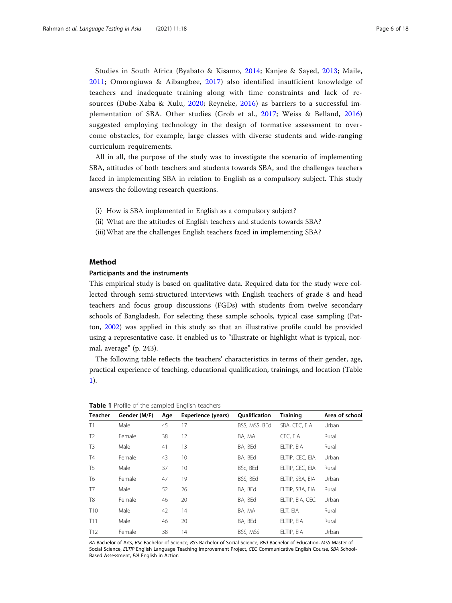Studies in South Africa (Byabato & Kisamo, [2014](#page-16-0); Kanjee & Sayed, [2013](#page-17-0); Maile, [2011](#page-17-0); Omorogiuwa & Aibangbee, [2017](#page-17-0)) also identified insufficient knowledge of teachers and inadequate training along with time constraints and lack of resources (Dube-Xaba & Xulu, [2020](#page-17-0); Reyneke, [2016](#page-17-0)) as barriers to a successful implementation of SBA. Other studies (Grob et al., [2017](#page-17-0); Weiss & Belland, [2016](#page-17-0)) suggested employing technology in the design of formative assessment to overcome obstacles, for example, large classes with diverse students and wide-ranging curriculum requirements.

All in all, the purpose of the study was to investigate the scenario of implementing SBA, attitudes of both teachers and students towards SBA, and the challenges teachers faced in implementing SBA in relation to English as a compulsory subject. This study answers the following research questions.

- (i) How is SBA implemented in English as a compulsory subject?
- (ii) What are the attitudes of English teachers and students towards SBA?
- (iii)What are the challenges English teachers faced in implementing SBA?

# Method

# Participants and the instruments

This empirical study is based on qualitative data. Required data for the study were collected through semi-structured interviews with English teachers of grade 8 and head teachers and focus group discussions (FGDs) with students from twelve secondary schools of Bangladesh. For selecting these sample schools, typical case sampling (Patton, [2002](#page-17-0)) was applied in this study so that an illustrative profile could be provided using a representative case. It enabled us to "illustrate or highlight what is typical, normal, average" (p. 243).

The following table reflects the teachers' characteristics in terms of their gender, age, practical experience of teaching, educational qualification, trainings, and location (Table 1).

| <b>Teacher</b>  | Gender (M/F) | Age | <b>Experience (years)</b> | <b>Oualification</b> | <b>Training</b> | Area of school |
|-----------------|--------------|-----|---------------------------|----------------------|-----------------|----------------|
| T1              | Male         | 45  | 17                        | BSS, MSS, BEd        | SBA, CEC, EIA   | Urban          |
| T <sub>2</sub>  | Female       | 38  | 12                        | BA, MA               | CEC. EIA        | Rural          |
| T <sub>3</sub>  | Male         | 41  | 13                        | BA, BEd              | ELTIP, EIA      | Rural          |
| T4              | Female       | 43  | 10                        | BA, BEd              | ELTIP, CEC, EIA | Urban          |
| T <sub>5</sub>  | Male         | 37  | 10                        | BSc, BEd             | ELTIP, CEC, EIA | Rural          |
| T <sub>6</sub>  | Female       | 47  | 19                        | BSS, BEd             | ELTIP, SBA, EIA | Urban          |
| T7              | Male         | 52  | 26                        | BA. BEd              | ELTIP, SBA, EIA | Rural          |
| T <sub>8</sub>  | Female       | 46  | 20                        | BA, BEd              | ELTIP, EIA, CEC | Urban          |
| T <sub>10</sub> | Male         | 42  | 14                        | BA, MA               | ELT, EIA        | Rural          |
| T11             | Male         | 46  | 20                        | BA, BEd              | ELTIP, EIA      | Rural          |
| T <sub>12</sub> | Female       | 38  | 14                        | BSS, MSS             | ELTIP, EIA      | Urban          |

Table 1 Profile of the sampled English teachers

BA Bachelor of Arts, BSc Bachelor of Science, BSS Bachelor of Social Science, BEd Bachelor of Education, MSS Master of Social Science, ELTIP English Language Teaching Improvement Project, CEC Communicative English Course, SBA School-Based Assessment, EIA English in Action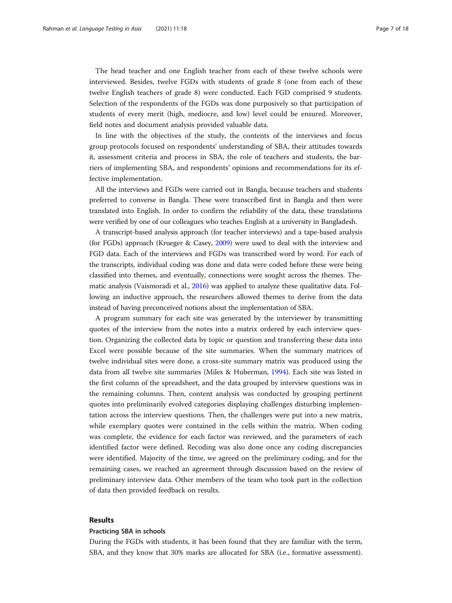The head teacher and one English teacher from each of these twelve schools were interviewed. Besides, twelve FGDs with students of grade 8 (one from each of these twelve English teachers of grade 8) were conducted. Each FGD comprised 9 students. Selection of the respondents of the FGDs was done purposively so that participation of students of every merit (high, mediocre, and low) level could be ensured. Moreover, field notes and document analysis provided valuable data.

In line with the objectives of the study, the contents of the interviews and focus group protocols focused on respondents' understanding of SBA, their attitudes towards it, assessment criteria and process in SBA, the role of teachers and students, the barriers of implementing SBA, and respondents' opinions and recommendations for its effective implementation.

All the interviews and FGDs were carried out in Bangla, because teachers and students preferred to converse in Bangla. These were transcribed first in Bangla and then were translated into English. In order to confirm the reliability of the data, these translations were verified by one of our colleagues who teaches English at a university in Bangladesh.

A transcript-based analysis approach (for teacher interviews) and a tape-based analysis (for FGDs) approach (Krueger & Casey, [2009](#page-17-0)) were used to deal with the interview and FGD data. Each of the interviews and FGDs was transcribed word by word. For each of the transcripts, individual coding was done and data were coded before these were being classified into themes, and eventually, connections were sought across the themes. Thematic analysis (Vaismoradi et al., [2016](#page-17-0)) was applied to analyze these qualitative data. Following an inductive approach, the researchers allowed themes to derive from the data instead of having preconceived notions about the implementation of SBA.

A program summary for each site was generated by the interviewer by transmitting quotes of the interview from the notes into a matrix ordered by each interview question. Organizing the collected data by topic or question and transferring these data into Excel were possible because of the site summaries. When the summary matrices of twelve individual sites were done, a cross-site summary matrix was produced using the data from all twelve site summaries (Miles & Huberman, [1994](#page-17-0)). Each site was listed in the first column of the spreadsheet, and the data grouped by interview questions was in the remaining columns. Then, content analysis was conducted by grouping pertinent quotes into preliminarily evolved categories displaying challenges disturbing implementation across the interview questions. Then, the challenges were put into a new matrix, while exemplary quotes were contained in the cells within the matrix. When coding was complete, the evidence for each factor was reviewed, and the parameters of each identified factor were defined. Recoding was also done once any coding discrepancies were identified. Majority of the time, we agreed on the preliminary coding, and for the remaining cases, we reached an agreement through discussion based on the review of preliminary interview data. Other members of the team who took part in the collection of data then provided feedback on results.

# Results

#### Practicing SBA in schools

During the FGDs with students, it has been found that they are familiar with the term, SBA, and they know that 30% marks are allocated for SBA (i.e., formative assessment).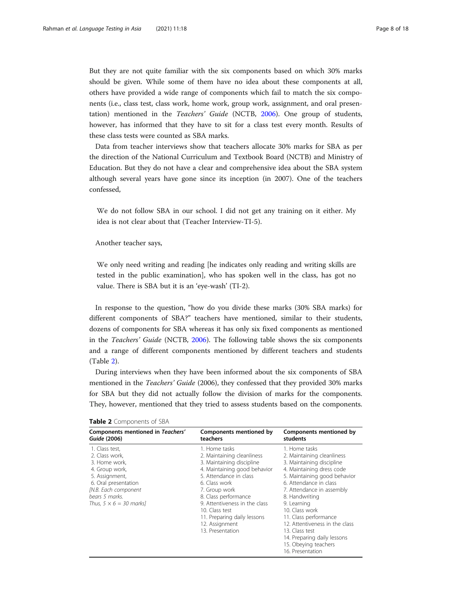But they are not quite familiar with the six components based on which 30% marks should be given. While some of them have no idea about these components at all, others have provided a wide range of components which fail to match the six components (i.e., class test, class work, home work, group work, assignment, and oral presentation) mentioned in the Teachers' Guide (NCTB, [2006](#page-17-0)). One group of students, however, has informed that they have to sit for a class test every month. Results of these class tests were counted as SBA marks.

Data from teacher interviews show that teachers allocate 30% marks for SBA as per the direction of the National Curriculum and Textbook Board (NCTB) and Ministry of Education. But they do not have a clear and comprehensive idea about the SBA system although several years have gone since its inception (in 2007). One of the teachers confessed,

We do not follow SBA in our school. I did not get any training on it either. My idea is not clear about that (Teacher Interview-TI-5).

Another teacher says,

We only need writing and reading [he indicates only reading and writing skills are tested in the public examination], who has spoken well in the class, has got no value. There is SBA but it is an 'eye-wash' (TI-2).

In response to the question, "how do you divide these marks (30% SBA marks) for different components of SBA?" teachers have mentioned, similar to their students, dozens of components for SBA whereas it has only six fixed components as mentioned in the Teachers' Guide (NCTB, [2006](#page-17-0)). The following table shows the six components and a range of different components mentioned by different teachers and students (Table 2).

During interviews when they have been informed about the six components of SBA mentioned in the Teachers' Guide (2006), they confessed that they provided 30% marks for SBA but they did not actually follow the division of marks for the components. They, however, mentioned that they tried to assess students based on the components.

| Components mentioned in Teachers'                                                                                                                                                         | Components mentioned by                                                                                                                                                                                                                                                                                              | Components mentioned by                                                                                                                                                                                                                                                                                                                                                                                 |
|-------------------------------------------------------------------------------------------------------------------------------------------------------------------------------------------|----------------------------------------------------------------------------------------------------------------------------------------------------------------------------------------------------------------------------------------------------------------------------------------------------------------------|---------------------------------------------------------------------------------------------------------------------------------------------------------------------------------------------------------------------------------------------------------------------------------------------------------------------------------------------------------------------------------------------------------|
| Guide (2006)                                                                                                                                                                              | teachers                                                                                                                                                                                                                                                                                                             | students                                                                                                                                                                                                                                                                                                                                                                                                |
| 1. Class test,<br>2. Class work.<br>3. Home work,<br>4. Group work,<br>5. Assignment,<br>6. Oral presentation<br>[N.B. Each component<br>bears 5 marks.<br>Thus, $5 \times 6 = 30$ marks] | 1. Home tasks<br>2. Maintaining cleanliness<br>3. Maintaining discipline<br>4. Maintaining good behavior<br>5. Attendance in class<br>6. Class work<br>7. Group work<br>8. Class performance<br>9. Attentiveness in the class<br>10. Class test<br>11. Preparing daily lessons<br>12. Assignment<br>13. Presentation | 1. Home tasks<br>2. Maintaining cleanliness<br>3. Maintaining discipline<br>4. Maintaining dress code<br>5. Maintaining good behavior<br>6. Attendance in class<br>7. Attendance in assembly<br>8. Handwriting<br>9. Learning<br>10. Class work<br>11. Class performance<br>12. Attentiveness in the class<br>13. Class test<br>14. Preparing daily lessons<br>15. Obeying teachers<br>16. Presentation |

Table 2 Components of SBA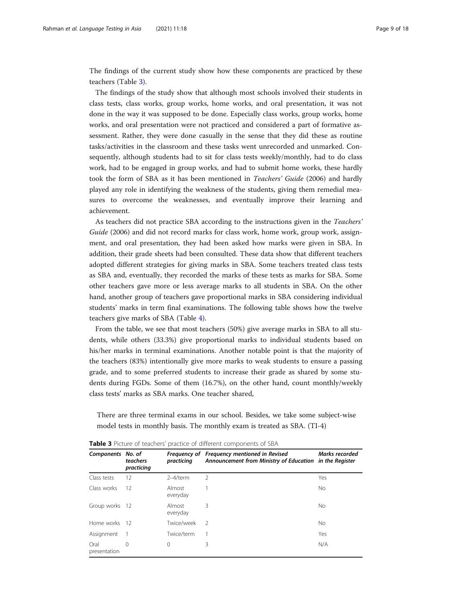The findings of the current study show how these components are practiced by these teachers (Table 3).

The findings of the study show that although most schools involved their students in class tests, class works, group works, home works, and oral presentation, it was not done in the way it was supposed to be done. Especially class works, group works, home works, and oral presentation were not practiced and considered a part of formative assessment. Rather, they were done casually in the sense that they did these as routine tasks/activities in the classroom and these tasks went unrecorded and unmarked. Consequently, although students had to sit for class tests weekly/monthly, had to do class work, had to be engaged in group works, and had to submit home works, these hardly took the form of SBA as it has been mentioned in Teachers' Guide (2006) and hardly played any role in identifying the weakness of the students, giving them remedial measures to overcome the weaknesses, and eventually improve their learning and achievement.

As teachers did not practice SBA according to the instructions given in the Teachers' Guide (2006) and did not record marks for class work, home work, group work, assignment, and oral presentation, they had been asked how marks were given in SBA. In addition, their grade sheets had been consulted. These data show that different teachers adopted different strategies for giving marks in SBA. Some teachers treated class tests as SBA and, eventually, they recorded the marks of these tests as marks for SBA. Some other teachers gave more or less average marks to all students in SBA. On the other hand, another group of teachers gave proportional marks in SBA considering individual students' marks in term final examinations. The following table shows how the twelve teachers give marks of SBA (Table [4\)](#page-9-0).

From the table, we see that most teachers (50%) give average marks in SBA to all students, while others (33.3%) give proportional marks to individual students based on his/her marks in terminal examinations. Another notable point is that the majority of the teachers (83%) intentionally give more marks to weak students to ensure a passing grade, and to some preferred students to increase their grade as shared by some students during FGDs. Some of them (16.7%), on the other hand, count monthly/weekly class tests' marks as SBA marks. One teacher shared,

There are three terminal exams in our school. Besides, we take some subject-wise model tests in monthly basis. The monthly exam is treated as SBA. (TI-4)

| Components No. of    | teachers<br>practicing | practicing         | Frequency of Frequency mentioned in Revised<br>Announcement from Ministry of Education in the Register | Marks recorded |
|----------------------|------------------------|--------------------|--------------------------------------------------------------------------------------------------------|----------------|
| Class tests          | 12                     | $2-4$ /term        | $\mathcal{P}$                                                                                          | Yes            |
| Class works          | 12                     | Almost<br>everyday |                                                                                                        | <b>No</b>      |
| Group works 12       |                        | Almost<br>everyday | 3                                                                                                      | No             |
| Home works 12        |                        | Twice/week         | $\mathcal{D}$                                                                                          | No             |
| Assignment           |                        | Twice/term         |                                                                                                        | Yes            |
| Oral<br>presentation | $\Omega$               | 0                  | 3                                                                                                      | N/A            |

Table 3 Picture of teachers' practice of different components of SBA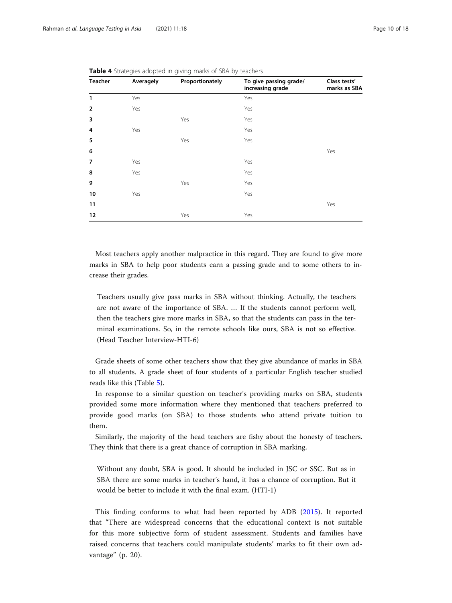| <b>Teacher</b> | Averagely | Proportionately | To give passing grade/<br>increasing grade | Class tests'<br>marks as SBA |
|----------------|-----------|-----------------|--------------------------------------------|------------------------------|
| $\mathbf{1}$   | Yes       |                 | Yes                                        |                              |
| $\overline{2}$ | Yes       |                 | Yes                                        |                              |
| 3              |           | Yes             | Yes                                        |                              |
| 4              | Yes       |                 | Yes                                        |                              |
| 5              |           | Yes             | Yes                                        |                              |
| 6              |           |                 |                                            | Yes                          |
| $\overline{7}$ | Yes       |                 | Yes                                        |                              |
| 8              | Yes       |                 | Yes                                        |                              |
| 9              |           | Yes             | Yes                                        |                              |
| 10             | Yes       |                 | Yes                                        |                              |
| 11             |           |                 |                                            | Yes                          |
| 12             |           | Yes             | Yes                                        |                              |

<span id="page-9-0"></span>Table 4 Strategies adopted in giving marks of SBA by teachers

Most teachers apply another malpractice in this regard. They are found to give more marks in SBA to help poor students earn a passing grade and to some others to increase their grades.

Teachers usually give pass marks in SBA without thinking. Actually, the teachers are not aware of the importance of SBA. … If the students cannot perform well, then the teachers give more marks in SBA, so that the students can pass in the terminal examinations. So, in the remote schools like ours, SBA is not so effective. (Head Teacher Interview-HTI-6)

Grade sheets of some other teachers show that they give abundance of marks in SBA to all students. A grade sheet of four students of a particular English teacher studied reads like this (Table [5](#page-10-0)).

In response to a similar question on teacher's providing marks on SBA, students provided some more information where they mentioned that teachers preferred to provide good marks (on SBA) to those students who attend private tuition to them.

Similarly, the majority of the head teachers are fishy about the honesty of teachers. They think that there is a great chance of corruption in SBA marking.

Without any doubt, SBA is good. It should be included in JSC or SSC. But as in SBA there are some marks in teacher's hand, it has a chance of corruption. But it would be better to include it with the final exam. (HTI-1)

This finding conforms to what had been reported by ADB [\(2015](#page-16-0)). It reported that "There are widespread concerns that the educational context is not suitable for this more subjective form of student assessment. Students and families have raised concerns that teachers could manipulate students' marks to fit their own advantage" (p. 20).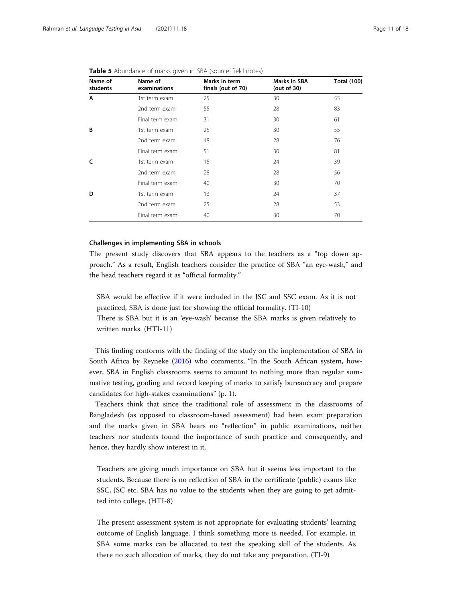| Name of<br>students | Name of<br>examinations | Marks in term<br>finals (out of 70) | Marks in SBA<br>(out of $30$ ) | <b>Total (100)</b> |
|---------------------|-------------------------|-------------------------------------|--------------------------------|--------------------|
| Α                   | 1st term exam           | 25                                  | 30                             | 55                 |
|                     | 2nd term exam           | 55                                  | 28                             | 83                 |
|                     | Final term exam         | 31                                  | 30                             | 61                 |
| B                   | 1st term exam           | 25                                  | 30                             | 55                 |
|                     | 2nd term exam           | 48                                  | 28                             | 76                 |
|                     | Final term exam         | 51                                  | 30                             | 81                 |
| C                   | 1st term exam           | 15                                  | 24                             | 39                 |
|                     | 2nd term exam           | 28                                  | 28                             | 56                 |
|                     | Final term exam         | 40                                  | 30                             | 70                 |
| D                   | 1st term exam           | 13                                  | 24                             | 37                 |
|                     | 2nd term exam           | 25                                  | 28                             | 53                 |
|                     | Final term exam         | 40                                  | 30                             | 70                 |

<span id="page-10-0"></span>

| Table 5 Abundance of marks given in SBA (source: field notes) |  |
|---------------------------------------------------------------|--|
|---------------------------------------------------------------|--|

# Challenges in implementing SBA in schools

The present study discovers that SBA appears to the teachers as a "top down approach." As a result, English teachers consider the practice of SBA "an eye-wash," and the head teachers regard it as "official formality."

SBA would be effective if it were included in the JSC and SSC exam. As it is not practiced, SBA is done just for showing the official formality. (TI-10)

There is SBA but it is an 'eye-wash' because the SBA marks is given relatively to written marks. (HTI-11)

This finding conforms with the finding of the study on the implementation of SBA in South Africa by Reyneke ([2016](#page-17-0)) who comments, "In the South African system, however, SBA in English classrooms seems to amount to nothing more than regular summative testing, grading and record keeping of marks to satisfy bureaucracy and prepare candidates for high-stakes examinations" (p. 1).

Teachers think that since the traditional role of assessment in the classrooms of Bangladesh (as opposed to classroom-based assessment) had been exam preparation and the marks given in SBA bears no "reflection" in public examinations, neither teachers nor students found the importance of such practice and consequently, and hence, they hardly show interest in it.

Teachers are giving much importance on SBA but it seems less important to the students. Because there is no reflection of SBA in the certificate (public) exams like SSC, JSC etc. SBA has no value to the students when they are going to get admitted into college. (HTI-8)

The present assessment system is not appropriate for evaluating students' learning outcome of English language. I think something more is needed. For example, in SBA some marks can be allocated to test the speaking skill of the students. As there no such allocation of marks, they do not take any preparation. (TI-9)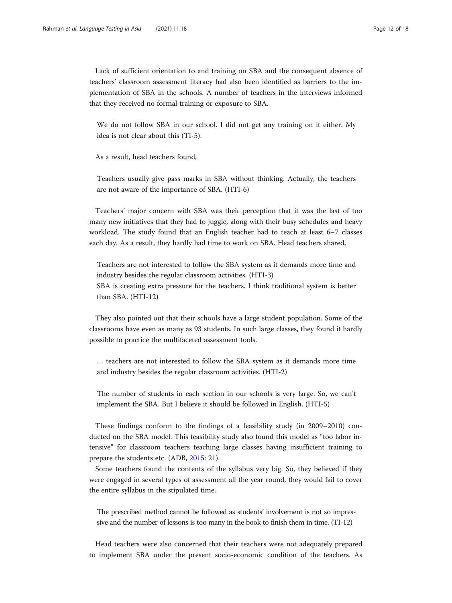Lack of sufficient orientation to and training on SBA and the consequent absence of teachers' classroom assessment literacy had also been identified as barriers to the implementation of SBA in the schools. A number of teachers in the interviews informed that they received no formal training or exposure to SBA.

We do not follow SBA in our school. I did not get any training on it either. My idea is not clear about this (TI-5).

As a result, head teachers found,

Teachers usually give pass marks in SBA without thinking. Actually, the teachers are not aware of the importance of SBA. (HTI-6)

Teachers' major concern with SBA was their perception that it was the last of too many new initiatives that they had to juggle, along with their busy schedules and heavy workload. The study found that an English teacher had to teach at least 6–7 classes each day. As a result, they hardly had time to work on SBA. Head teachers shared,

Teachers are not interested to follow the SBA system as it demands more time and industry besides the regular classroom activities. (HTI-3) SBA is creating extra pressure for the teachers. I think traditional system is better than SBA. (HTI-12)

They also pointed out that their schools have a large student population. Some of the classrooms have even as many as 93 students. In such large classes, they found it hardly possible to practice the multifaceted assessment tools.

… teachers are not interested to follow the SBA system as it demands more time and industry besides the regular classroom activities. (HTI-2)

The number of students in each section in our schools is very large. So, we can't implement the SBA. But I believe it should be followed in English. (HTI-5)

These findings conform to the findings of a feasibility study (in 2009–2010) conducted on the SBA model. This feasibility study also found this model as "too labor intensive" for classroom teachers teaching large classes having insufficient training to prepare the students etc. (ADB, [2015](#page-16-0): 21).

Some teachers found the contents of the syllabus very big. So, they believed if they were engaged in several types of assessment all the year round, they would fail to cover the entire syllabus in the stipulated time.

The prescribed method cannot be followed as students' involvement is not so impressive and the number of lessons is too many in the book to finish them in time. (TI-12)

Head teachers were also concerned that their teachers were not adequately prepared to implement SBA under the present socio-economic condition of the teachers. As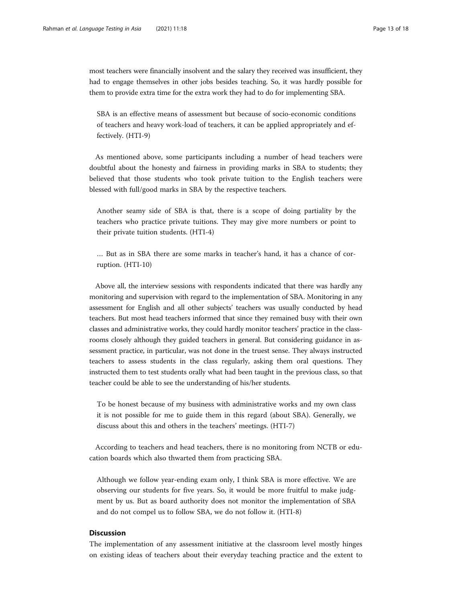most teachers were financially insolvent and the salary they received was insufficient, they had to engage themselves in other jobs besides teaching. So, it was hardly possible for them to provide extra time for the extra work they had to do for implementing SBA.

SBA is an effective means of assessment but because of socio-economic conditions of teachers and heavy work-load of teachers, it can be applied appropriately and effectively. (HTI-9)

As mentioned above, some participants including a number of head teachers were doubtful about the honesty and fairness in providing marks in SBA to students; they believed that those students who took private tuition to the English teachers were blessed with full/good marks in SBA by the respective teachers.

Another seamy side of SBA is that, there is a scope of doing partiality by the teachers who practice private tuitions. They may give more numbers or point to their private tuition students. (HTI-4)

… But as in SBA there are some marks in teacher's hand, it has a chance of corruption. (HTI-10)

Above all, the interview sessions with respondents indicated that there was hardly any monitoring and supervision with regard to the implementation of SBA. Monitoring in any assessment for English and all other subjects' teachers was usually conducted by head teachers. But most head teachers informed that since they remained busy with their own classes and administrative works, they could hardly monitor teachers' practice in the classrooms closely although they guided teachers in general. But considering guidance in assessment practice, in particular, was not done in the truest sense. They always instructed teachers to assess students in the class regularly, asking them oral questions. They instructed them to test students orally what had been taught in the previous class, so that teacher could be able to see the understanding of his/her students.

To be honest because of my business with administrative works and my own class it is not possible for me to guide them in this regard (about SBA). Generally, we discuss about this and others in the teachers' meetings. (HTI-7)

According to teachers and head teachers, there is no monitoring from NCTB or education boards which also thwarted them from practicing SBA.

Although we follow year-ending exam only, I think SBA is more effective. We are observing our students for five years. So, it would be more fruitful to make judgment by us. But as board authority does not monitor the implementation of SBA and do not compel us to follow SBA, we do not follow it. (HTI-8)

# **Discussion**

The implementation of any assessment initiative at the classroom level mostly hinges on existing ideas of teachers about their everyday teaching practice and the extent to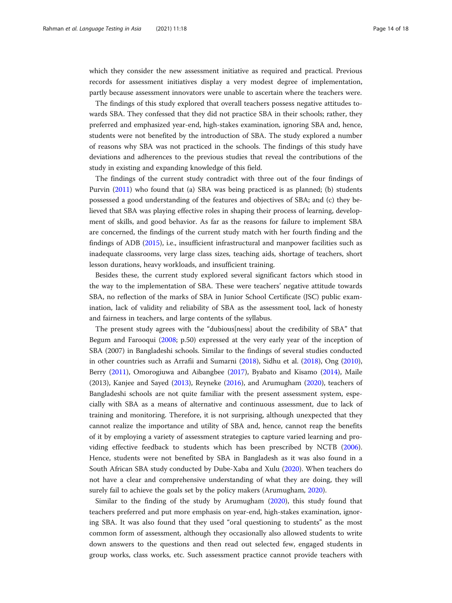which they consider the new assessment initiative as required and practical. Previous records for assessment initiatives display a very modest degree of implementation, partly because assessment innovators were unable to ascertain where the teachers were.

The findings of this study explored that overall teachers possess negative attitudes towards SBA. They confessed that they did not practice SBA in their schools; rather, they preferred and emphasized year-end, high-stakes examination, ignoring SBA and, hence, students were not benefited by the introduction of SBA. The study explored a number of reasons why SBA was not practiced in the schools. The findings of this study have deviations and adherences to the previous studies that reveal the contributions of the study in existing and expanding knowledge of this field.

The findings of the current study contradict with three out of the four findings of Purvin [\(2011](#page-17-0)) who found that (a) SBA was being practiced is as planned; (b) students possessed a good understanding of the features and objectives of SBA; and (c) they believed that SBA was playing effective roles in shaping their process of learning, development of skills, and good behavior. As far as the reasons for failure to implement SBA are concerned, the findings of the current study match with her fourth finding and the findings of ADB ([2015\)](#page-16-0), i.e., insufficient infrastructural and manpower facilities such as inadequate classrooms, very large class sizes, teaching aids, shortage of teachers, short lesson durations, heavy workloads, and insufficient training.

Besides these, the current study explored several significant factors which stood in the way to the implementation of SBA. These were teachers' negative attitude towards SBA, no reflection of the marks of SBA in Junior School Certificate (JSC) public examination, lack of validity and reliability of SBA as the assessment tool, lack of honesty and fairness in teachers, and large contents of the syllabus.

The present study agrees with the "dubious[ness] about the credibility of SBA" that Begum and Farooqui [\(2008](#page-16-0); p.50) expressed at the very early year of the inception of SBA (2007) in Bangladeshi schools. Similar to the findings of several studies conducted in other countries such as Arrafii and Sumarni [\(2018](#page-16-0)), Sidhu et al. [\(2018\)](#page-17-0), Ong ([2010](#page-17-0)), Berry ([2011\)](#page-16-0), Omorogiuwa and Aibangbee [\(2017\)](#page-17-0), Byabato and Kisamo ([2014](#page-16-0)), Maile (2013), Kanjee and Sayed [\(2013\)](#page-17-0), Reyneke [\(2016\)](#page-17-0), and Arumugham [\(2020\)](#page-16-0), teachers of Bangladeshi schools are not quite familiar with the present assessment system, especially with SBA as a means of alternative and continuous assessment, due to lack of training and monitoring. Therefore, it is not surprising, although unexpected that they cannot realize the importance and utility of SBA and, hence, cannot reap the benefits of it by employing a variety of assessment strategies to capture varied learning and providing effective feedback to students which has been prescribed by NCTB ([2006](#page-17-0)). Hence, students were not benefited by SBA in Bangladesh as it was also found in a South African SBA study conducted by Dube-Xaba and Xulu ([2020](#page-17-0)). When teachers do not have a clear and comprehensive understanding of what they are doing, they will surely fail to achieve the goals set by the policy makers (Arumugham, [2020](#page-16-0)).

Similar to the finding of the study by Arumugham [\(2020\)](#page-16-0), this study found that teachers preferred and put more emphasis on year-end, high-stakes examination, ignoring SBA. It was also found that they used "oral questioning to students" as the most common form of assessment, although they occasionally also allowed students to write down answers to the questions and then read out selected few, engaged students in group works, class works, etc. Such assessment practice cannot provide teachers with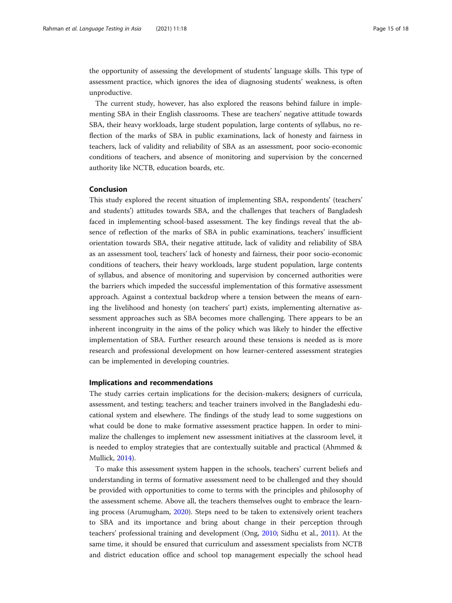the opportunity of assessing the development of students' language skills. This type of assessment practice, which ignores the idea of diagnosing students' weakness, is often unproductive.

The current study, however, has also explored the reasons behind failure in implementing SBA in their English classrooms. These are teachers' negative attitude towards SBA, their heavy workloads, large student population, large contents of syllabus, no reflection of the marks of SBA in public examinations, lack of honesty and fairness in teachers, lack of validity and reliability of SBA as an assessment, poor socio-economic conditions of teachers, and absence of monitoring and supervision by the concerned authority like NCTB, education boards, etc.

# Conclusion

This study explored the recent situation of implementing SBA, respondents' (teachers' and students') attitudes towards SBA, and the challenges that teachers of Bangladesh faced in implementing school-based assessment. The key findings reveal that the absence of reflection of the marks of SBA in public examinations, teachers' insufficient orientation towards SBA, their negative attitude, lack of validity and reliability of SBA as an assessment tool, teachers' lack of honesty and fairness, their poor socio-economic conditions of teachers, their heavy workloads, large student population, large contents of syllabus, and absence of monitoring and supervision by concerned authorities were the barriers which impeded the successful implementation of this formative assessment approach. Against a contextual backdrop where a tension between the means of earning the livelihood and honesty (on teachers' part) exists, implementing alternative assessment approaches such as SBA becomes more challenging. There appears to be an inherent incongruity in the aims of the policy which was likely to hinder the effective implementation of SBA. Further research around these tensions is needed as is more research and professional development on how learner-centered assessment strategies can be implemented in developing countries.

# Implications and recommendations

The study carries certain implications for the decision-makers; designers of curricula, assessment, and testing; teachers; and teacher trainers involved in the Bangladeshi educational system and elsewhere. The findings of the study lead to some suggestions on what could be done to make formative assessment practice happen. In order to minimalize the challenges to implement new assessment initiatives at the classroom level, it is needed to employ strategies that are contextually suitable and practical (Ahmmed & Mullick, [2014\)](#page-16-0).

To make this assessment system happen in the schools, teachers' current beliefs and understanding in terms of formative assessment need to be challenged and they should be provided with opportunities to come to terms with the principles and philosophy of the assessment scheme. Above all, the teachers themselves ought to embrace the learning process (Arumugham, [2020](#page-16-0)). Steps need to be taken to extensively orient teachers to SBA and its importance and bring about change in their perception through teachers' professional training and development (Ong, [2010;](#page-17-0) Sidhu et al., [2011](#page-17-0)). At the same time, it should be ensured that curriculum and assessment specialists from NCTB and district education office and school top management especially the school head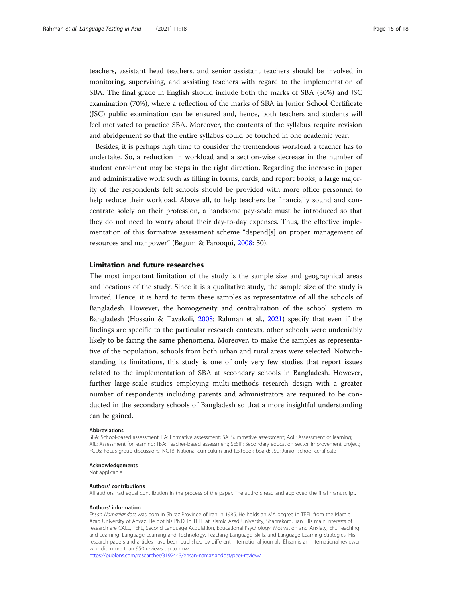teachers, assistant head teachers, and senior assistant teachers should be involved in monitoring, supervising, and assisting teachers with regard to the implementation of SBA. The final grade in English should include both the marks of SBA (30%) and JSC examination (70%), where a reflection of the marks of SBA in Junior School Certificate (JSC) public examination can be ensured and, hence, both teachers and students will feel motivated to practice SBA. Moreover, the contents of the syllabus require revision and abridgement so that the entire syllabus could be touched in one academic year.

Besides, it is perhaps high time to consider the tremendous workload a teacher has to undertake. So, a reduction in workload and a section-wise decrease in the number of student enrolment may be steps in the right direction. Regarding the increase in paper and administrative work such as filling in forms, cards, and report books, a large majority of the respondents felt schools should be provided with more office personnel to help reduce their workload. Above all, to help teachers be financially sound and concentrate solely on their profession, a handsome pay-scale must be introduced so that they do not need to worry about their day-to-day expenses. Thus, the effective implementation of this formative assessment scheme "depend[s] on proper management of resources and manpower" (Begum & Farooqui, [2008:](#page-16-0) 50).

# Limitation and future researches

The most important limitation of the study is the sample size and geographical areas and locations of the study. Since it is a qualitative study, the sample size of the study is limited. Hence, it is hard to term these samples as representative of all the schools of Bangladesh. However, the homogeneity and centralization of the school system in Bangladesh (Hossain & Tavakoli, [2008;](#page-17-0) Rahman et al., [2021](#page-17-0)) specify that even if the findings are specific to the particular research contexts, other schools were undeniably likely to be facing the same phenomena. Moreover, to make the samples as representative of the population, schools from both urban and rural areas were selected. Notwithstanding its limitations, this study is one of only very few studies that report issues related to the implementation of SBA at secondary schools in Bangladesh. However, further large-scale studies employing multi-methods research design with a greater number of respondents including parents and administrators are required to be conducted in the secondary schools of Bangladesh so that a more insightful understanding can be gained.

#### **Abbreviations**

SBA: School-based assessment; FA: Formative assessment; SA: Summative assessment; AoL: Assessment of learning; AfL: Assessment for learning; TBA: Teacher-based assessment; SESIP: Secondary education sector improvement project; FGDs: Focus group discussions; NCTB: National curriculum and textbook board; JSC: Junior school certificate

#### Acknowledgements

Not applicable

#### Authors' contributions

All authors had equal contribution in the process of the paper. The authors read and approved the final manuscript.

#### Authors' information

Ehsan Namaziandost was born in Shiraz Province of Iran in 1985. He holds an MA degree in TEFL from the Islamic Azad University of Ahvaz. He got his Ph.D. in TEFL at Islamic Azad University, Shahrekord, Iran. His main interests of research are CALL, TEFL, Second Language Acquisition, Educational Psychology, Motivation and Anxiety, EFL Teaching and Learning, Language Learning and Technology, Teaching Language Skills, and Language Learning Strategies. His research papers and articles have been published by different international journals. Ehsan is an international reviewer who did more than 950 reviews up to now.

<https://publons.com/researcher/3192443/ehsan-namaziandost/peer-review/>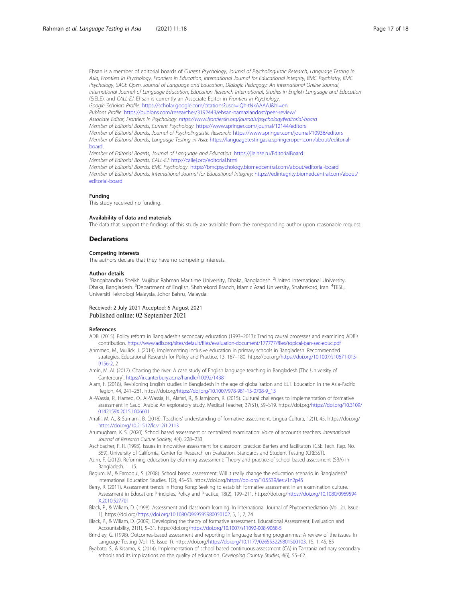<span id="page-16-0"></span>Ehsan is a member of editorial boards of Current Psychology, Journal of Psycholinguistic Research, Language Testing in Asia, Frontiers in Psychology, Frontiers in Education, International Journal for Educational Integrity, BMC Psychiatry, BMC Psychology, SAGE Open, Journal of Language and Education, Dialogic Pedagogy: An International Online Journal, International Journal of Language Education, Education Research International, Studies in English Language and Education (SiELE), and CALL-EJ. Ehsan is currently an Associate Editor in Frontiers in Psychology. Google Scholars Profile: <https://scholar.google.com/citations?user=lQh-tNkAAAAJ&hl=en> Publons Profile: <https://publons.com/researcher/3192443/ehsan-namaziandost/peer-review/> Associate Editor, Frontiers in Psychology: <https://www.frontiersin.org/journals/psychology#editorial-board> Member of Editorial Boards, Current Psychology: <https://www.springer.com/journal/12144/editors> Member of Editorial Boards, Journal of Psycholinguistic Research: <https://www.springer.com/journal/10936/editors> Member of Editorial Boards, Language Testing in Asia: [https://languagetestingasia.springeropen.com/about/editorial](https://languagetestingasia.springeropen.com/about/editorial-board)[board](https://languagetestingasia.springeropen.com/about/editorial-board). Member of Editorial Boards, Journal of Language and Education: <https://jle.hse.ru/EditorialBoard>

Member of Editorial Boards, CALL-EJ: <http://callej.org/editorial.html> Member of Editorial Boards, BMC Psychology: <https://bmcpsychology.biomedcentral.com/about/editorial-board> Member of Editorial Boards, International Journal for Educational Integrity: [https://edintegrity.biomedcentral.com/about/](https://edintegrity.biomedcentral.com/about/editorial-board) [editorial-board](https://edintegrity.biomedcentral.com/about/editorial-board)

#### Funding

This study received no funding.

#### Availability of data and materials

The data that support the findings of this study are available from the corresponding author upon reasonable request.

#### Declarations

# Competing interests

The authors declare that they have no competing interests.

#### Author details

<sup>1</sup>Bangabandhu Sheikh Mujibur Rahman Maritime University, Dhaka, Bangladesh. <sup>2</sup>United International University Dhaka, Bangladesh. <sup>3</sup>Department of English, Shahrekord Branch, Islamic Azad University, Shahrekord, Iran. <sup>4</sup>TESL, Universiti Teknologi Malaysia, Johor Bahru, Malaysia.

#### Received: 2 July 2021 Accepted: 6 August 2021 Published online: 02 September 2021

#### References

- ADB. (2015). Policy reform in Bangladesh's secondary education (1993–2013): Tracing causal processes and examining ADB's contribution. <https://www.adb.org/sites/default/files/evaluation-document/177777/files/topical-ban-sec-educ.pdf>
- Ahmmed, M., Mullick, J. (2014). Implementing inclusive education in primary schools in Bangladesh: Recommended strategies. Educational Research for Policy and Practice, 13, 167–180. https://doi.org/[https://doi.org/10.1007/s10671-013-](https://doi.org/10.1007/s10671-013-9156-2) [9156-2,](https://doi.org/10.1007/s10671-013-9156-2) 2
- Amin, M. Al. (2017). Charting the river: A case study of English language teaching in Bangladesh [The University of Canterbury]. <https://ir.canterbury.ac.nz/handle/10092/14381>
- Alam, F. (2018). Revisioning English studies in Bangladesh in the age of globalisation and ELT. Education in the Asia-Pacific Region, 44, 241–261. https://doi.org[/https://doi.org/10.1007/978-981-13-0708-9\\_13](https://doi.org/10.1007/978-981-13-0708-9_13)
- Al-Wassia, R., Hamed, O., Al-Wassia, H., Alafari, R., & Jamjoom, R. (2015). Cultural challenges to implementation of formative assessment in Saudi Arabia: An exploratory study. Medical Teacher, 37(S1), S9–S19. https://doi.org[/https://doi.org/10.3109/](https://doi.org/10.3109/0142159X.2015.1006601) [0142159X.2015.1006601](https://doi.org/10.3109/0142159X.2015.1006601)
- Arrafii, M. A., & Sumarni, B. (2018). Teachers' understanding of formative assessment. Lingua Cultura, 12(1), 45. https://doi.org/ <https://doi.org/10.21512/lc.v12i1.2113>
- Arumugham, K. S. (2020). School based assessment or centralized examination: Voice of account's teachers. International Journal of Research Culture Society, 4(4), 228–233.
- Aschbacher, P. R. (1993). Issues in innovative assessment for classroom practice: Barriers and facilitators (CSE Tech. Rep. No. 359). University of California, Center for Research on Evaluation, Standards and Student Testing (CRESST).
- Azim, F. (2012). Reforming education by eforming assessment: Theory and practice of school based assessment (SBA) in Bangladesh. 1–15.
- Begum, M., & Farooqui, S. (2008). School based assessment: Will it really change the education scenario in Bangladesh? International Education Studies, 1(2), 45–53. https://doi.org[/https://doi.org/10.5539/ies.v1n2p45](https://doi.org/10.5539/ies.v1n2p45)
- Berry, R. (2011). Assessment trends in Hong Kong: Seeking to establish formative assessment in an examination culture. Assessment in Education: Principles, Policy and Practice, 18(2), 199–211. https://doi.org/[https://doi.org/10.1080/0969594](https://doi.org/10.1080/0969594X.2010.527701) [X.2010.527701](https://doi.org/10.1080/0969594X.2010.527701)
- Black, P., & Wiliam, D. (1998). Assessment and classroom learning. In International Journal of Phytoremediation (Vol. 21, Issue 1). https://doi.org[/https://doi.org/10.1080/0969595980050102](https://doi.org/10.1080/0969595980050102), 5, 1, 7, 74
- Black, P., & Wiliam, D. (2009). Developing the theory of formative assessment. Educational Assessment, Evaluation and Accountability, 21(1), 5–31. https://doi.org[/https://doi.org/10.1007/s11092-008-9068-5](https://doi.org/10.1007/s11092-008-9068-5)
- Brindley, G. (1998). Outcomes-based assessment and reporting in language learning programmes: A review of the issues. In Language Testing (Vol. 15, Issue 1). https://doi.org[/https://doi.org/10.1177/026553229801500103](https://doi.org/10.1177/026553229801500103), 15, 1, 45, 85
- Byabato, S., & Kisamo, K. (2014). Implementation of school based continuous assessment (CA) in Tanzania ordinary secondary schools and its implications on the quality of education. Developing Country Studies, 4(6), 55–62.